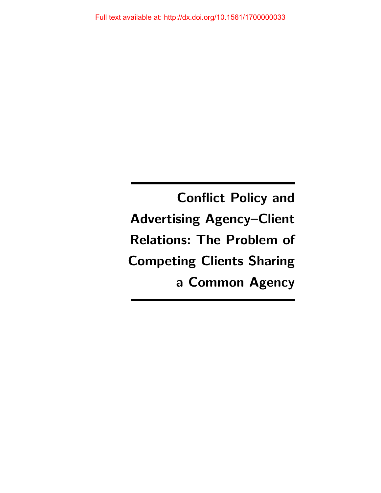Conflict Policy and Advertising Agency–Client Relations: The Problem of Competing Clients Sharing a Common Agency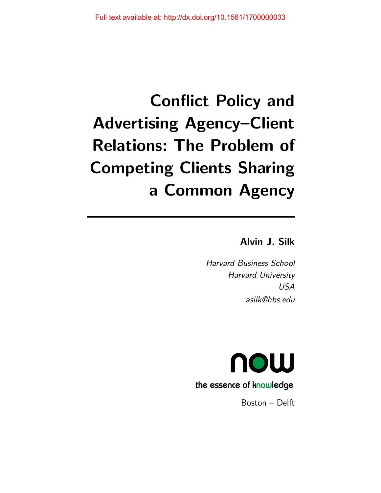# Conflict Policy and Advertising Agency–Client Relations: The Problem of Competing Clients Sharing a Common Agency

Alvin J. Silk

Harvard Business School Harvard University USA asilk@hbs.edu



Boston – Delft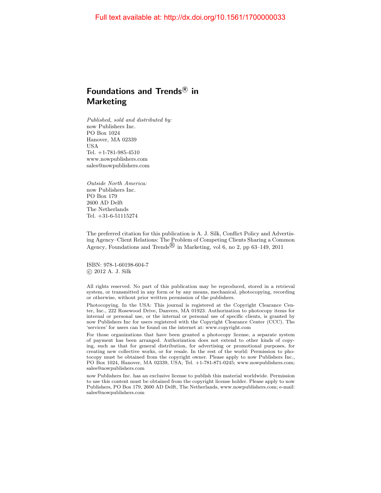## Foundations and Trends ${}^{\text{\textregistered}}$  in Marketing

Published, sold and distributed by: now Publishers Inc. PO Box 1024 Hanover, MA 02339 USA Tel. +1-781-985-4510 www.nowpublishers.com sales@nowpublishers.com

Outside North America: now Publishers Inc. PO Box 179 2600 AD Delft The Netherlands Tel. +31-6-51115274

The preferred citation for this publication is A. J. Silk, Conflict Policy and Advertising Agency–Client Relations: The Problem of Competing Clients Sharing a Common Agency, Foundations and Trends<sup> $\overline{\textcircled{B}}$ </sup> in Marketing, vol 6, no 2, pp 63–149, 2011

ISBN: 978-1-60198-604-7 c 2012 A. J. Silk

All rights reserved. No part of this publication may be reproduced, stored in a retrieval system, or transmitted in any form or by any means, mechanical, photocopying, recording or otherwise, without prior written permission of the publishers.

Photocopying. In the USA: This journal is registered at the Copyright Clearance Center, Inc., 222 Rosewood Drive, Danvers, MA 01923. Authorization to photocopy items for internal or personal use, or the internal or personal use of specific clients, is granted by now Publishers Inc for users registered with the Copyright Clearance Center (CCC). The 'services' for users can be found on the internet at: www.copyright.com

For those organizations that have been granted a photocopy license, a separate system of payment has been arranged. Authorization does not extend to other kinds of copying, such as that for general distribution, for advertising or promotional purposes, for creating new collective works, or for resale. In the rest of the world: Permission to photocopy must be obtained from the copyright owner. Please apply to now Publishers Inc., PO Box 1024, Hanover, MA 02339, USA; Tel. +1-781-871-0245; www.nowpublishers.com; sales@nowpublishers.com

now Publishers Inc. has an exclusive license to publish this material worldwide. Permission to use this content must be obtained from the copyright license holder. Please apply to now Publishers, PO Box 179, 2600 AD Delft, The Netherlands, www.nowpublishers.com; e-mail: sales@nowpublishers.com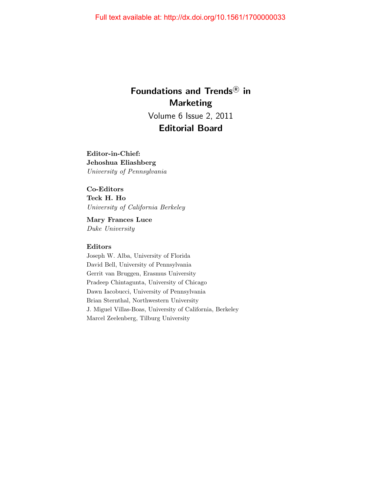## Foundations and Trends<sup>®</sup> in **Marketing** Volume 6 Issue 2, 2011 Editorial Board

Editor-in-Chief: Jehoshua Eliashberg University of Pennsylvania

#### Co-Editors

Teck H. Ho University of California Berkeley

Mary Frances Luce Duke University

#### Editors

Joseph W. Alba, University of Florida David Bell, University of Pennsylvania Gerrit van Bruggen, Erasmus University Pradeep Chintagunta, University of Chicago Dawn Iacobucci, University of Pennsylvania Brian Sternthal, Northwestern University J. Miguel Villas-Boas, University of California, Berkeley Marcel Zeelenberg, Tilburg University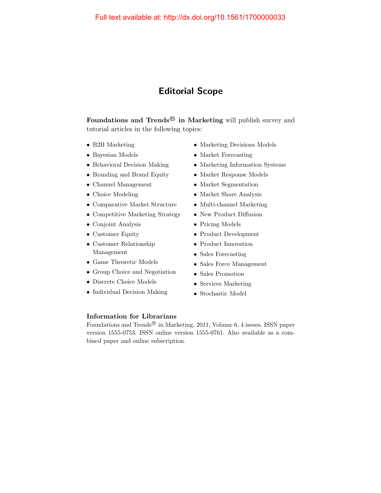## Editorial Scope

Foundations and Trends<sup>®</sup> in Marketing will publish survey and tutorial articles in the following topics:

- B2B Marketing
- Bayesian Models
- Behavioral Decision Making
- Branding and Brand Equity
- Channel Management
- Choice Modeling
- Comparative Market Structure
- Competitive Marketing Strategy
- Conjoint Analysis
- Customer Equity
- Customer Relationship Management
- Game Theoretic Models
- Group Choice and Negotiation
- Discrete Choice Models
- Individual Decision Making
- Marketing Decisions Models
- Market Forecasting
- Marketing Information Systems
- Market Response Models
- Market Segmentation
- Market Share Analysis
- Multi-channel Marketing
- New Product Diffusion
- Pricing Models
- Product Development
- Product Innovation
- Sales Forecasting
- Sales Force Management
- Sales Promotion
- Services Marketing
- Stochastic Model

#### Information for Librarians

Foundations and Trends<sup>®</sup> in Marketing, 2011, Volume 6, 4 issues. ISSN paper version 1555-0753. ISSN online version 1555-0761. Also available as a combined paper and online subscription.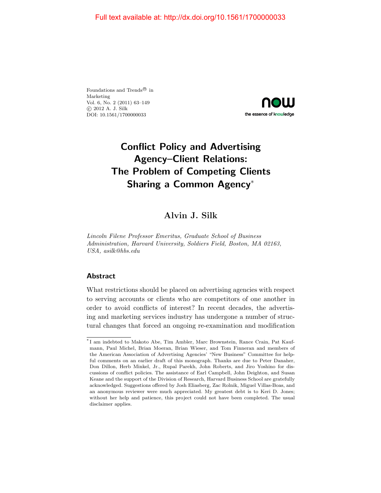Foundations and Trends<br> $^{\circledR}$  in Marketing Vol. 6, No. 2 (2011) 63–149 c 2012 A. J. Silk DOI: 10.1561/1700000033



# Conflict Policy and Advertising Agency–Client Relations: The Problem of Competing Clients Sharing a Common Agency<sup>∗</sup>

## Alvin J. Silk

Lincoln Filene Professor Emeritus, Graduate School of Business Administration, Harvard University, Soldiers Field, Boston, MA 02163, USA, asilk@hbs.edu

#### Abstract

What restrictions should be placed on advertising agencies with respect to serving accounts or clients who are competitors of one another in order to avoid conflicts of interest? In recent decades, the advertising and marketing services industry has undergone a number of structural changes that forced an ongoing re-examination and modification

<sup>\*</sup> I am indebted to Makoto Abe, Tim Ambler, Marc Brownstein, Rance Crain, Pat Kaufmann, Paul Michel, Brian Moeran, Brian Wieser, and Tom Finneran and members of the American Association of Advertising Agencies' "New Business" Committee for helpful comments on an earlier draft of this monograph. Thanks are due to Peter Danaher, Don Dillon, Herb Minkel, Jr., Rupal Parekh, John Roberts, and Jiro Yoshino for discussions of conflict policies. The assistance of Earl Campbell, John Deighton, and Susan Keane and the support of the Division of Research, Harvard Business School are gratefully acknowledged. Suggestions offered by Josh Eliasberg, Zac Rolnik, Miguel Villas-Boas, and an anonymous reviewer were much appreciated. My greatest debt is to Keri D. Jones; without her help and patience, this project could not have been completed. The usual disclaimer applies.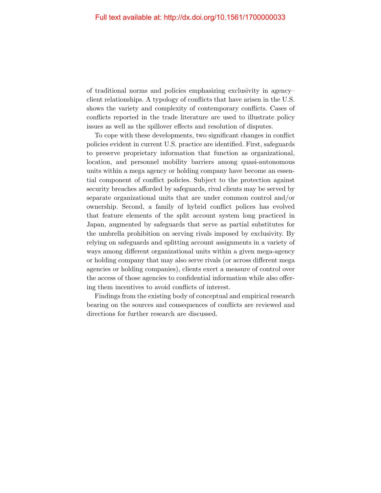of traditional norms and policies emphasizing exclusivity in agency– client relationships. A typology of conflicts that have arisen in the U.S. shows the variety and complexity of contemporary conflicts. Cases of conflicts reported in the trade literature are used to illustrate policy issues as well as the spillover effects and resolution of disputes.

To cope with these developments, two significant changes in conflict policies evident in current U.S. practice are identified. First, safeguards to preserve proprietary information that function as organizational, location, and personnel mobility barriers among quasi-autonomous units within a mega agency or holding company have become an essential component of conflict policies. Subject to the protection against security breaches afforded by safeguards, rival clients may be served by separate organizational units that are under common control and/or ownership. Second, a family of hybrid conflict polices has evolved that feature elements of the split account system long practiced in Japan, augmented by safeguards that serve as partial substitutes for the umbrella prohibition on serving rivals imposed by exclusivity. By relying on safeguards and splitting account assignments in a variety of ways among different organizational units within a given mega-agency or holding company that may also serve rivals (or across different mega agencies or holding companies), clients exert a measure of control over the access of those agencies to confidential information while also offering them incentives to avoid conflicts of interest.

Findings from the existing body of conceptual and empirical research bearing on the sources and consequences of conflicts are reviewed and directions for further research are discussed.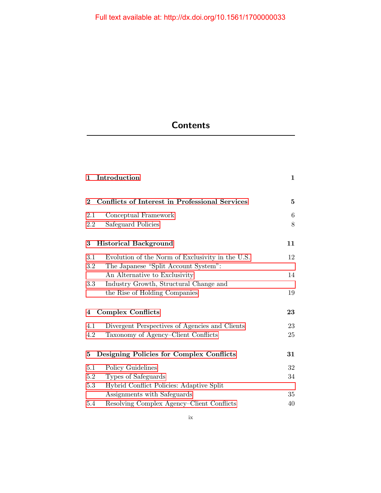# **Contents**

| 1              | Introduction                                                                             | $\mathbf{1}$ |
|----------------|------------------------------------------------------------------------------------------|--------------|
| $\mathbf 2$    | <b>Conflicts of Interest in Professional Services</b>                                    | 5            |
| 2.1            | Conceptual Framework                                                                     | 6            |
| 2.2            | Safeguard Policies                                                                       | 8            |
| 3              | <b>Historical Background</b>                                                             | 11           |
| 3.1<br>3.2     | Evolution of the Norm of Exclusivity in the U.S.<br>The Japanese "Split Account System": | 12           |
|                | An Alternative to Exclusivity                                                            | 14           |
| 3.3            | Industry Growth, Structural Change and                                                   |              |
|                | the Rise of Holding Companies                                                            | 19           |
| $\overline{4}$ | <b>Complex Conflicts</b>                                                                 | 23           |
| 4.1            | Divergent Perspectives of Agencies and Clients                                           | 23           |
| 4.2            | Taxonomy of Agency–Client Conflicts                                                      | 25           |
| 5              | Designing Policies for Complex Conflicts                                                 | 31           |
| 5.1            | Policy Guidelines                                                                        | 32           |
| 5.2            | Types of Safeguards                                                                      | 34           |
| 5.3            | Hybrid Conflict Policies: Adaptive Split                                                 |              |
|                | Assignments with Safeguards                                                              | 35           |
| 5.4            | Resolving Complex Agency–Client Conflicts                                                | 40           |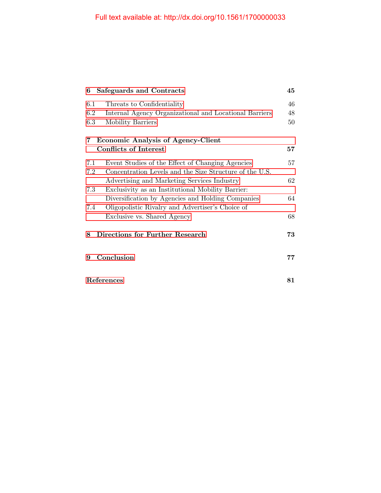| 6                                    | Safeguards and Contracts                                | 45 |
|--------------------------------------|---------------------------------------------------------|----|
| 6.1                                  | Threats to Confidentiality                              | 46 |
| 6.2                                  | Internal Agency Organizational and Locational Barriers  | 48 |
| 6.3                                  | Mobility Barriers                                       | 50 |
| 7                                    | <b>Economic Analysis of Agency-Client</b>               |    |
|                                      | <b>Conflicts of Interest</b>                            | 57 |
| 7.1                                  | Event Studies of the Effect of Changing Agencies        | 57 |
| 7.2                                  | Concentration Levels and the Size Structure of the U.S. |    |
|                                      | Advertising and Marketing Services Industry             | 62 |
| $7.3\,$                              | Exclusivity as an Institutional Mobility Barrier:       |    |
|                                      | Diversification by Agencies and Holding Companies       | 64 |
| 7.4                                  | Oligopolistic Rivalry and Advertiser's Choice of        |    |
|                                      | Exclusive vs. Shared Agency                             | 68 |
| Directions for Further Research<br>8 |                                                         | 73 |
| Conclusion<br>9                      |                                                         | 77 |
| References                           |                                                         | 81 |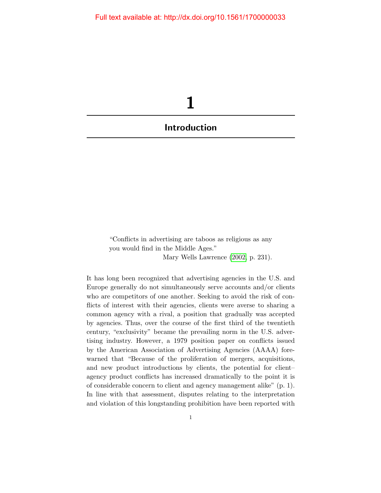<span id="page-9-0"></span>

"Conflicts in advertising are taboos as religious as any you would find in the Middle Ages."

Mary Wells Lawrence [\(2002,](#page-18-0) p. 231).

It has long been recognized that advertising agencies in the U.S. and Europe generally do not simultaneously serve accounts and/or clients who are competitors of one another. Seeking to avoid the risk of conflicts of interest with their agencies, clients were averse to sharing a common agency with a rival, a position that gradually was accepted by agencies. Thus, over the course of the first third of the twentieth century, "exclusivity" became the prevailing norm in the U.S. advertising industry. However, a 1979 position paper on conflicts issued by the American Association of Advertising Agencies (AAAA) forewarned that "Because of the proliferation of mergers, acquisitions, and new product introductions by clients, the potential for client– agency product conflicts has increased dramatically to the point it is of considerable concern to client and agency management alike" (p. 1). In line with that assessment, disputes relating to the interpretation and violation of this longstanding prohibition have been reported with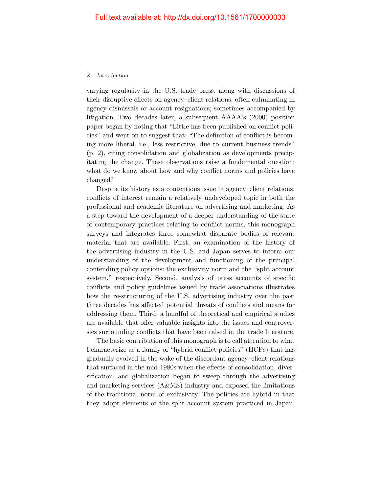#### 2 Introduction

varying regularity in the U.S. trade press, along with discussions of their disruptive effects on agency–client relations, often culminating in agency dismissals or account resignations; sometimes accompanied by litigation. Two decades later, a subsequent AAAA's (2000) position paper began by noting that "Little has been published on conflict policies" and went on to suggest that: "The definition of conflict is becoming more liberal, i.e., less restrictive, due to current business trends" (p. 2), citing consolidation and globalization as developments precipitating the change. These observations raise a fundamental question: what do we know about how and why conflict norms and policies have changed?

Despite its history as a contentious issue in agency–client relations, conflicts of interest remain a relatively undeveloped topic in both the professional and academic literature on advertising and marketing. As a step toward the development of a deeper understanding of the state of contemporary practices relating to conflict norms, this monograph surveys and integrates three somewhat disparate bodies of relevant material that are available. First, an examination of the history of the advertising industry in the U.S. and Japan serves to inform our understanding of the development and functioning of the principal contending policy options: the exclusivity norm and the "split account system," respectively. Second, analysis of press accounts of specific conflicts and policy guidelines issued by trade associations illustrates how the re-structuring of the U.S. advertising industry over the past three decades has affected potential threats of conflicts and means for addressing them. Third, a handful of theoretical and empirical studies are available that offer valuable insights into the issues and controversies surrounding conflicts that have been raised in the trade literature.

The basic contribution of this monograph is to call attention to what I characterize as a family of "hybrid conflict policies" (HCPs) that has gradually evolved in the wake of the discordant agency–client relations that surfaced in the mid-1980s when the effects of consolidation, diversification, and globalization began to sweep through the advertising and marketing services (A&MS) industry and exposed the limitations of the traditional norm of exclusivity. The policies are hybrid in that they adopt elements of the split account system practiced in Japan,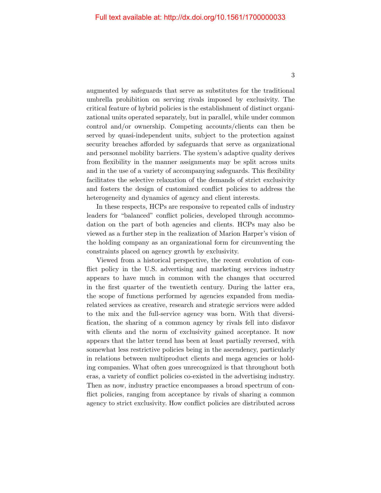augmented by safeguards that serve as substitutes for the traditional umbrella prohibition on serving rivals imposed by exclusivity. The critical feature of hybrid policies is the establishment of distinct organizational units operated separately, but in parallel, while under common control and/or ownership. Competing accounts/clients can then be served by quasi-independent units, subject to the protection against security breaches afforded by safeguards that serve as organizational and personnel mobility barriers. The system's adaptive quality derives from flexibility in the manner assignments may be split across units and in the use of a variety of accompanying safeguards. This flexibility facilitates the selective relaxation of the demands of strict exclusivity and fosters the design of customized conflict policies to address the heterogeneity and dynamics of agency and client interests.

In these respects, HCPs are responsive to repeated calls of industry leaders for "balanced" conflict policies, developed through accommodation on the part of both agencies and clients. HCPs may also be viewed as a further step in the realization of Marion Harper's vision of the holding company as an organizational form for circumventing the constraints placed on agency growth by exclusivity.

Viewed from a historical perspective, the recent evolution of conflict policy in the U.S. advertising and marketing services industry appears to have much in common with the changes that occurred in the first quarter of the twentieth century. During the latter era, the scope of functions performed by agencies expanded from mediarelated services as creative, research and strategic services were added to the mix and the full-service agency was born. With that diversification, the sharing of a common agency by rivals fell into disfavor with clients and the norm of exclusivity gained acceptance. It now appears that the latter trend has been at least partially reversed, with somewhat less restrictive policies being in the ascendency, particularly in relations between multiproduct clients and mega agencies or holding companies. What often goes unrecognized is that throughout both eras, a variety of conflict policies co-existed in the advertising industry. Then as now, industry practice encompasses a broad spectrum of conflict policies, ranging from acceptance by rivals of sharing a common agency to strict exclusivity. How conflict policies are distributed across

3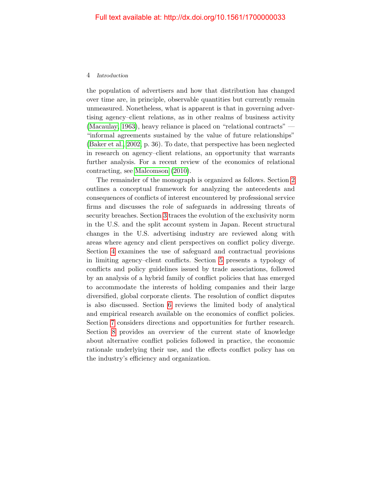#### 4 Introduction

the population of advertisers and how that distribution has changed over time are, in principle, observable quantities but currently remain unmeasured. Nonetheless, what is apparent is that in governing advertising agency–client relations, as in other realms of business activity [\(Macaulay, 1963\)](#page-18-1), heavy reliance is placed on "relational contracts" — "informal agreements sustained by the value of future relationships" [\(Baker et al., 2002,](#page-14-0) p. 36). To date, that perspective has been neglected in research on agency–client relations, an opportunity that warrants further analysis. For a recent review of the economics of relational contracting, see [Malcomson](#page-18-2) [\(2010\)](#page-18-2).

The remainder of the monograph is organized as follows. Section [2](#page--1-0) outlines a conceptual framework for analyzing the antecedents and consequences of conflicts of interest encountered by professional service firms and discusses the role of safeguards in addressing threats of security breaches. Section [3](#page--1-0) traces the evolution of the exclusivity norm in the U.S. and the split account system in Japan. Recent structural changes in the U.S. advertising industry are reviewed along with areas where agency and client perspectives on conflict policy diverge. Section [4](#page--1-0) examines the use of safeguard and contractual provisions in limiting agency–client conflicts. Section [5](#page--1-0) presents a typology of conflicts and policy guidelines issued by trade associations, followed by an analysis of a hybrid family of conflict policies that has emerged to accommodate the interests of holding companies and their large diversified, global corporate clients. The resolution of conflict disputes is also discussed. Section [6](#page--1-0) reviews the limited body of analytical and empirical research available on the economics of conflict policies. Section [7](#page--1-0) considers directions and opportunities for further research. Section [8](#page--1-0) provides an overview of the current state of knowledge about alternative conflict policies followed in practice, the economic rationale underlying their use, and the effects conflict policy has on the industry's efficiency and organization.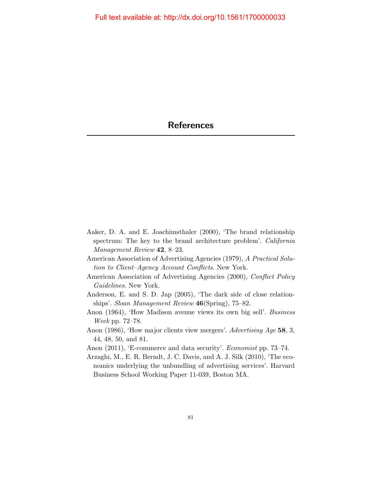- <span id="page-13-0"></span>Aaker, D. A. and E. Joachimsthaler (2000), 'The brand relationship spectrum: The key to the brand architecture problem'. California Management Review 42, 8–23.
- American Association of Advertising Agencies (1979), A Practical Solution to Client–Agency Account Conflicts. New York.
- American Association of Advertising Agencies (2000), Conflict Policy Guidelines. New York.
- Anderson, E. and S. D. Jap (2005), 'The dark side of close relationships'. Sloan Management Review 46(Spring), 75–82.
- Anon (1964), 'How Madison avenue views its own big sell'. Business Week pp. 72–78.
- Anon (1986), 'How major clients view mergers'. Advertising Age 58, 3, 44, 48, 50, and 81.
- Anon (2011), 'E-commerce and data security'. Economist pp. 73–74.
- Arzaghi, M., E. R. Berndt, J. C. Davis, and A. J. Silk (2010), 'The economics underlying the unbundling of advertising services'. Harvard Business School Working Paper 11-039, Boston MA.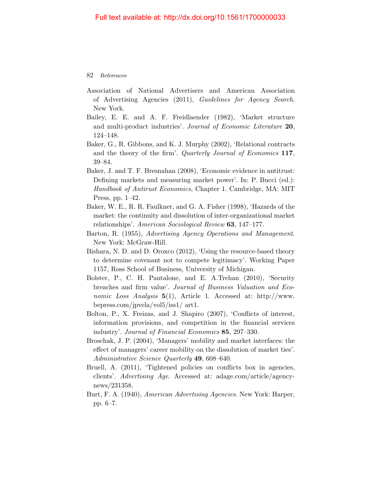- Association of National Advertisers and American Association of Advertising Agencies (2011), Guidelines for Agency Search. New York.
- Bailey, E. E. and A. F. Freidlaender (1982), 'Market structure and multi-product industries'. Journal of Economic Literature 20, 124–148.
- <span id="page-14-0"></span>Baker, G., R. Gibbons, and K. J. Murphy (2002), 'Relational contracts and the theory of the firm'. Quarterly Journal of Economics 117, 39–84.
- Baker, J. and T. F. Bresnahan (2008), 'Economic evidence in antitrust: Defining markets and measuring market power'. In: P. Bucci (ed.): Handbook of Antirust Economics, Chapter 1. Cambridge, MA: MIT Press, pp. 1–42.
- Baker, W. E., R. R. Faulkner, and G. A. Fisher (1998), 'Hazards of the market: the continuity and dissolution of inter-organizational market relationships'. American Sociological Review 63, 147–177.
- Barton, R. (1955), Advertising Agency Operations and Management. New York: McGraw-Hill.
- Bishara, N. D. and D. Oroxco (2012), 'Using the resource-based theory to determine covenant not to compete legitimacy'. Working Paper 1157, Ross School of Business, University of Michigan.
- Bolster, P., C. H. Pantalone, and E. A.Trehan (2010), 'Security breaches and firm value'. Journal of Business Valuation and Economic Loss Analysis  $5(1)$ , Article 1. Accessed at: http://www. bepress.com/jpvela/vol5/iss1/ art1.
- Bolton, P., X. Freizas, and J. Shapiro (2007), 'Conflicts of interest, information provisions, and competition in the financial services industry'. Journal of Financial Economics 85, 297–330.
- Broschak, J. P. (2004), 'Managers' mobility and market interfaces: the effect of managers' career mobility on the dissolution of market ties'. Administrative Science Quarterly 49, 608-640.
- Bruell, A.  $(2011)$ , Tightened policies on conflicts box in agencies, clients'. Advertising Age. Accessed at: adage.com/article/agencynews/231358.
- Burt, F. A. (1940), American Advertising Agencies. New York: Harper, pp. 6–7.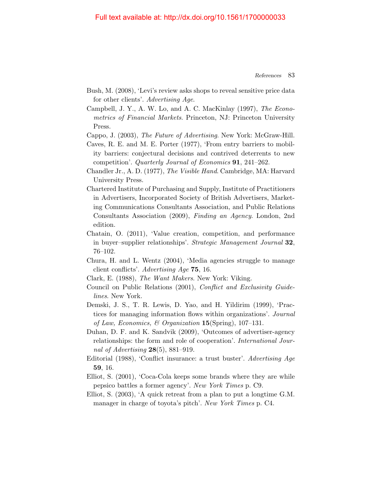- Bush, M. (2008), 'Levi's review asks shops to reveal sensitive price data for other clients'. Advertising Age.
- Campbell, J. Y., A. W. Lo, and A. C. MacKinlay (1997), The Econometrics of Financial Markets. Princeton, NJ: Princeton University Press.
- Cappo, J. (2003), The Future of Advertising. New York: McGraw-Hill.
- Caves, R. E. and M. E. Porter (1977), 'From entry barriers to mobility barriers: conjectural decisions and contrived deterrents to new competition'. Quarterly Journal of Economics 91, 241–262.
- Chandler Jr., A. D. (1977), The Visible Hand. Cambridge, MA: Harvard University Press.
- Chartered Institute of Purchasing and Supply, Institute of Practitioners in Advertisers, Incorporated Society of British Advertisers, Marketing Communications Consultants Association, and Public Relations Consultants Association (2009), Finding an Agency. London, 2nd edition.
- Chatain, O. (2011), 'Value creation, competition, and performance in buyer–supplier relationships'. Strategic Management Journal 32, 76–102.
- Chura, H. and L. Wentz (2004), 'Media agencies struggle to manage client conflicts'. Advertising Age 75, 16.
- Clark, E. (1988), The Want Makers. New York: Viking.
- Council on Public Relations (2001), Conflict and Exclusivity Guidelines. New York.
- Demski, J. S., T. R. Lewis, D. Yao, and H. Yildirim (1999), 'Practices for managing information flows within organizations'. Journal of Law, Economics, & Organization  $15(Spring)$ , 107-131.
- Duhan, D. F. and K. Sandvik (2009), 'Outcomes of advertiser-agency relationships: the form and role of cooperation'. International Journal of Advertising  $28(5)$ ,  $881-919$ .
- Editorial (1988), 'Conflict insurance: a trust buster'. Advertising Age 59, 16.
- Elliot, S. (2001), 'Coca-Cola keeps some brands where they are while pepsico battles a former agency'. New York Times p. C9.
- Elliot, S. (2003), 'A quick retreat from a plan to put a longtime G.M. manager in charge of toyota's pitch'. New York Times p. C4.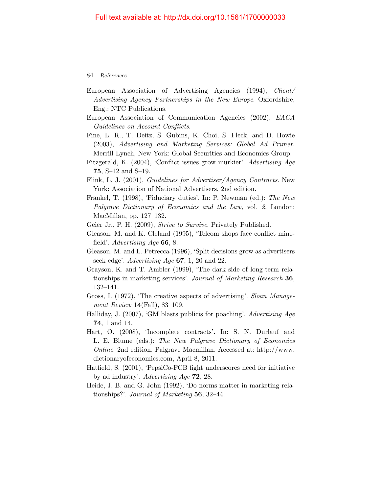- European Association of Advertising Agencies (1994), Client/ Advertising Agency Partnerships in the New Europe. Oxfordshire, Eng.: NTC Publications.
- European Association of Communication Agencies (2002), EACA Guidelines on Account Conflicts.
- Fine, L. R., T. Deitz, S. Gubins, K. Choi, S. Fleck, and D. Howie (2003), Advertising and Marketing Services: Global Ad Primer. Merrill Lynch, New York: Global Securities and Economics Group.
- Fitzgerald, K. (2004), 'Conflict issues grow murkier'. Advertising Age 75, S–12 and S–19.
- Flink, L. J. (2001), Guidelines for Advertiser/Agency Contracts. New York: Association of National Advertisers, 2nd edition.
- Frankel, T. (1998), 'Fiduciary duties'. In: P. Newman (ed.): The New Palgrave Dictionary of Economics and the Law, vol. 2. London: MacMillan, pp. 127–132.
- Geier Jr., P. H. (2009), *Strive to Survive*. Privately Published.
- Gleason, M. and K. Cleland (1995), 'Telcom shops face conflict minefield'. Advertising Age 66, 8.
- Gleason, M. and L. Petrecca (1996), 'Split decisions grow as advertisers seek edge'. Advertising Age **67**, 1, 20 and 22.
- Grayson, K. and T. Ambler (1999), 'The dark side of long-term relationships in marketing services'. Journal of Marketing Research 36, 132–141.
- Gross, I. (1972), 'The creative aspects of advertising'. Sloan Management Review  $14(Fall)$ , 83-109.
- Halliday, J. (2007), 'GM blasts publicis for poaching'. Advertising Age 74, 1 and 14.
- Hart, O. (2008), 'Incomplete contracts'. In: S. N. Durlauf and L. E. Blume (eds.): The New Palgrave Dictionary of Economics Online. 2nd edition. Palgrave Macmillan. Accessed at: http://www. dictionaryofeconomics.com, April 8, 2011.
- Hatfield, S. (2001), 'PepsiCo-FCB fight underscores need for initiative by ad industry'. Advertising Age 72, 28.
- Heide, J. B. and G. John (1992), 'Do norms matter in marketing relationships?'. Journal of Marketing 56, 32–44.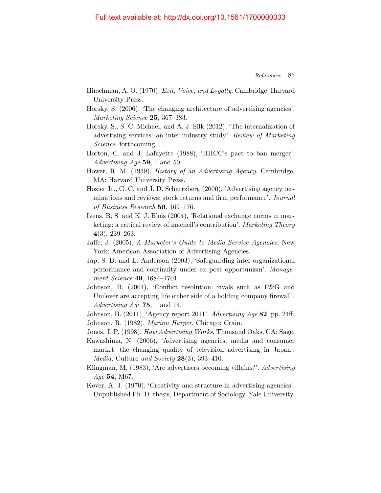- Hirschman, A. O. (1970), Exit, Voice, and Loyalty. Cambridge: Harvard University Press.
- Horsky, S. (2006), 'The changing architecture of advertising agencies'. Marketing Science 25, 367–383.
- Horsky, S., S. C. Michael, and A. J. Silk (2012), 'The internalization of advertising services: an inter-industry study'. Review of Marketing Science. forthcoming.
- Horton, C. and J. Lafayette (1988), 'HHCC's pact to ban merger'. Advertising Age 59, 1 and 50.
- Hower, R. M. (1939), History of an Advertising Agency. Cambridge, MA: Harvard University Press.
- Hozier Jr., G. C. and J. D. Schatrzberg (2000), 'Advertising agency terminations and reviews: stock returns and firm performance'. Journal of Business Research 50, 169–176.
- Ivens, B. S. and K. J. Blois (2004), 'Relational exchange norms in marketing: a critical review of macneil's contribution'. Marketing Theory 4(3), 239–263.
- Jaffe, J. (2005), A Marketer's Guide to Media Service Agencies. New York: American Association of Advertising Agencies.
- Jap, S. D. and E. Anderson (2003), 'Safeguarding inter-organizational performance and continuity under ex post opportunism'. Management Science **49**, 1684–1701.
- Johnson, B. (2004), 'Conflict resolution: rivals such as P&G and Unilever are accepting life either side of a holding company firewall'. Advertising Age  $75$ , 1 and 14.
- Johnson, B. (2011), 'Agency report 2011'. Advertising Age 82, pp. 24ff. Johnson, R. (1982), Marion Harper. Chicago: Crain.
- Jones, J. P. (1998), *How Advertising Works*. Thousand Oaks, CA: Sage.
- Kawashima, N. (2006), 'Advertising agencies, media and consumer market: the changing quality of television advertising in Japan'. *Media,* Culture and Society  $28(3)$ , 393-410.
- Klingman, M. (1983), 'Are advertisers becoming villains?'. Advertising Age 54, M67.
- Kover, A. J. (1970), 'Creativity and structure in advertising agencies'. Unpublished Ph. D. thesis, Department of Sociology, Yale University.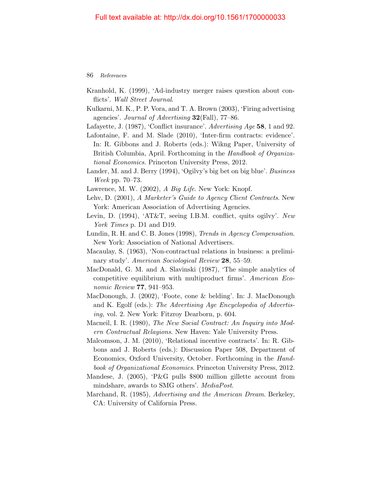- Kranhold, K. (1999), 'Ad-industry merger raises question about conflicts'. Wall Street Journal.
- Kulkarni, M. K., P. P. Vora, and T. A. Brown (2003), 'Firing advertising agencies'. Journal of Advertising 32(Fall), 77–86.
- Lafayette, J. (1987), 'Conflict insurance'. Advertising Age 58, 1 and 92.
- Lafontaine, F. and M. Slade (2010), 'Inter-firm contracts: evidence'. In: R. Gibbons and J. Roberts (eds.): Wikng Paper, University of British Columbia, April. Forthcoming in the Handbook of Organizational Economics. Princeton University Press, 2012.
- Lander, M. and J. Berry (1994), 'Ogilvy's big bet on big blue'. Business Week pp. 70–73.
- <span id="page-18-0"></span>Lawrence, M. W. (2002), A Big Life. New York: Knopf.
- Lehv, D. (2001), A Marketer's Guide to Agency Client Contracts. New York: American Association of Advertising Agencies.
- Levin, D. (1994), 'AT&T, seeing I.B.M. conflict, quits ogilvy'. New York Times p. D1 and D19.
- Lundin, R. H. and C. B. Jones (1998), Trends in Agency Compensation. New York: Association of National Advertisers.
- <span id="page-18-1"></span>Macaulay, S. (1963), 'Non-contractual relations in business: a preliminary study'. American Sociological Review 28, 55–59.
- MacDonald, G. M. and A. Slavinski (1987), 'The simple analytics of competitive equilibrium with multiproduct firms'. American Economic Review 77, 941–953.
- MacDonough, J. (2002), 'Foote, cone & belding'. In: J. MacDonough and K. Egolf (eds.): The Advertising Age Encyclopedia of Advertising, vol. 2. New York: Fitzroy Dearborn, p. 604.
- Macneil, I. R. (1980), The New Social Contract: An Inquiry into Modern Contractual Relayions. New Haven: Yale University Press.
- <span id="page-18-2"></span>Malcomson, J. M. (2010), 'Relational incentive contracts'. In: R. Gibbons and J. Roberts (eds.): Discussion Paper 508, Department of Economics, Oxford University, October. Forthcoming in the Handbook of Organizational Economics. Princeton University Press, 2012.
- Mandese, J. (2005), 'P&G pulls \$800 million gillette account from mindshare, awards to SMG others'. MediaPost.
- Marchand, R. (1985), Advertising and the American Dream. Berkeley, CA: University of California Press.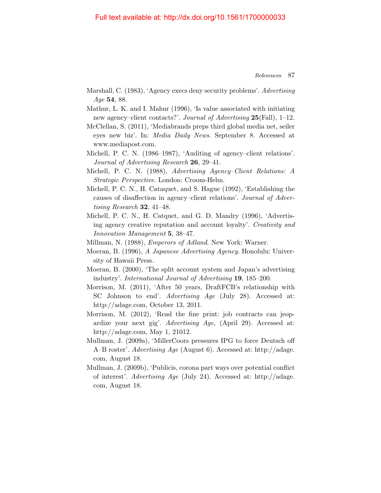#### Full text available at: http://dx.doi.org/10.1561/1700000033

- Marshall, C. (1983), 'Agency execs deny security problems'. Advertising Age 54, 88.
- Mathur, L. K. and I. Mahur (1996), 'Is value associated with initiating new agency–client contacts?'. Journal of Advertising 25(Fall), 1–12.
- McClellan, S. (2011), 'Mediabrands preps third global media net, seiler eyes new biz'. In: Media Daily News. September 8. Accessed at www.mediapost.com.
- Michell, P. C. N. (1986–1987), 'Auditing of agency–client relations'. Journal of Advertising Research 26, 29–41.
- Michell, P. C. N. (1988), Advertising Agency–Client Relations: A Strategic Perspective. London: Croom-Helm.
- Michell, P. C. N., H. Cataquet, and S. Hague (1992), 'Establishing the causes of disaffection in agency–client relations'. Journal of Advertising Research 32, 41–48.
- Michell, P. C. N., H. Catquet, and G. D. Mandry (1996), 'Advertising agency creative reputation and account loyalty'. Creativity and Innovation Management 5, 38–47.
- Millman, N. (1988), Emperors of Adland. New York: Warner.
- Moeran, B. (1996), A Japanese Advertising Agency. Honolulu: University of Hawaii Press.
- Moeran, B. (2000), 'The split account system and Japan's advertising industry'. International Journal of Advertising 19, 185–200.
- Morrison, M. (2011), 'After 50 years, DraftFCB's relationship with SC Johnson to end'. Advertising Age (July 28). Accessed at: http://adage.com, October 13, 2011.
- Morrison, M. (2012), 'Read the fine print: job contracts can jeopardize your next gig'. Advertising Age, (April 29). Accessed at: http://adage.com, May 1, 21012.
- Mullman, J. (2009a), 'MillerCoors pressures IPG to force Deutsch off A–B roster'. Advertising Age (August 6). Accessed at: http://adage. com, August 18.
- Mullman, J. (2009b), 'Publicis, corona part ways over potential conflict of interest'. Advertising Age (July 24). Accessed at: http://adage. com, August 18.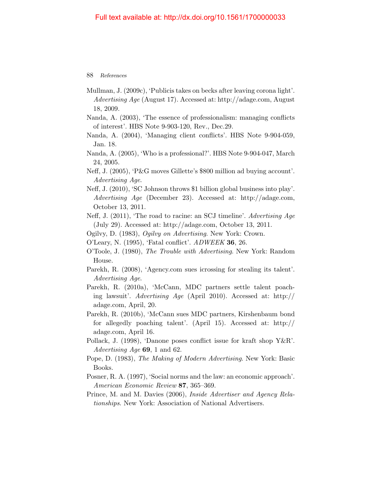- Mullman, J. (2009c), 'Publicis takes on becks after leaving corona light'. Advertising Age (August 17). Accessed at: http://adage.com, August 18, 2009.
- Nanda, A. (2003), 'The essence of professionalism: managing conflicts of interest'. HBS Note 9-903-120, Rev., Dec.29.
- Nanda, A. (2004), 'Managing client conflicts'. HBS Note 9-904-059, Jan. 18.
- Nanda, A. (2005), 'Who is a professional?'. HBS Note 9-904-047, March 24, 2005.
- Neff, J. (2005), 'P&G moves Gillette's \$800 million ad buying account'. Advertising Age.
- Neff, J. (2010), 'SC Johnson throws \$1 billion global business into play'. Advertising Age (December 23). Accessed at: http://adage.com, October 13, 2011.
- Neff, J. (2011), 'The road to racine: an SCJ timeline'. Advertising Age (July 29). Accessed at: http://adage.com, October 13, 2011.
- Ogilvy, D. (1983), Ogilvy on Advertising. New York: Crown.
- O'Leary, N. (1995), 'Fatal conflict'. ADWEEK 36, 26.
- O'Toole, J. (1980), The Trouble with Advertising. New York: Random House.
- Parekh, R. (2008), 'Agency.com sues icrossing for stealing its talent'. Advertising Age.
- Parekh, R. (2010a), 'McCann, MDC partners settle talent poaching lawsuit'. Advertising Age (April 2010). Accessed at: http:// adage.com, April, 20.
- Parekh, R. (2010b), 'McCann sues MDC partners, Kirshenbaum bond for allegedly poaching talent'. (April 15). Accessed at: http:// adage.com, April 16.
- Pollack, J. (1998), 'Danone poses conflict issue for kraft shop Y&R'. Advertising Age 69, 1 and 62.
- Pope, D. (1983), The Making of Modern Advertising. New York: Basic Books.
- Posner, R. A. (1997), 'Social norms and the law: an economic approach'. American Economic Review 87, 365–369.
- Prince, M. and M. Davies (2006), Inside Advertiser and Agency Relationships. New York: Association of National Advertisers.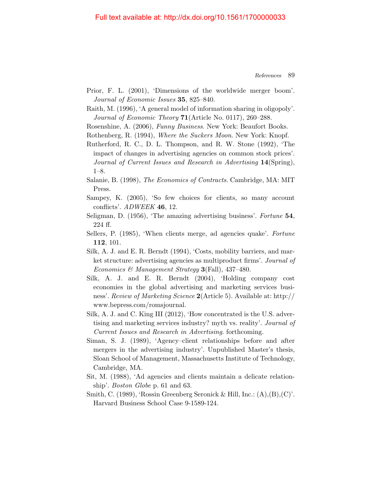- Prior, F. L. (2001), 'Dimensions of the worldwide merger boom'. Journal of Economic Issues 35, 825–840.
- Raith, M. (1996), 'A general model of information sharing in oligopoly'. Journal of Economic Theory  $71$ (Article No. 0117), 260–288.

Rosenshine, A. (2006), Funny Business. New York: Beaufort Books.

Rothenberg, R. (1994), Where the Suckers Moon. New York: Knopf.

- Rutherford, R. C., D. L. Thompson, and R. W. Stone (1992), 'The impact of changes in advertising agencies on common stock prices'. Journal of Current Issues and Research in Advertising 14(Spring), 1–8.
- Salanie, B. (1998), The Economics of Contracts. Cambridge, MA: MIT Press.
- Sampey, K. (2005), 'So few choices for clients, so many account conflicts'. ADWEEK 46, 12.
- Seligman, D. (1956), 'The amazing advertising business'. Fortune 54, 224 ff.
- Sellers, P. (1985), 'When clients merge, ad agencies quake'. Fortune 112, 101.
- Silk, A. J. and E. R. Berndt (1994), 'Costs, mobility barriers, and market structure: advertising agencies as multiproduct firms'. Journal of Economics & Management Strategy 3(Fall), 437-480.
- Silk, A. J. and E. R. Berndt (2004), 'Holding company cost economies in the global advertising and marketing services business'. Review of Marketing Science 2(Article 5). Available at: http:// www.bepress.com/romsjournal.
- Silk, A. J. and C. King III (2012), 'How concentrated is the U.S. advertising and marketing services industry? myth vs. reality'. Journal of Current Issues and Research in Advertising. forthcoming.
- Siman, S. J. (1989), 'Agency–client relationships before and after mergers in the advertising industry'. Unpublished Master's thesis, Sloan School of Management, Massachusetts Institute of Technology, Cambridge, MA.
- Sit, M. (1988), 'Ad agencies and clients maintain a delicate relationship'. Boston Globe p. 61 and 63.
- Smith, C. (1989), 'Rossin Greenberg Seronick & Hill, Inc.: (A),(B),(C)'. Harvard Business School Case 9-1589-124.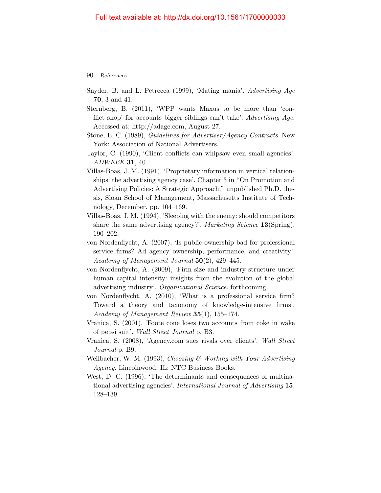- Snyder, B. and L. Petrecca (1999), 'Mating mania'. Advertising Age 70, 3 and 41.
- Sternberg, B. (2011), 'WPP wants Maxus to be more than 'conflict shop' for accounts bigger siblings can't take'. Advertising Age. Accessed at: http://adage.com, August 27.
- Stone, E. C. (1989), Guidelines for Advertiser/Agency Contracts. New York: Association of National Advertisers.
- Taylor, C. (1990), 'Client conflicts can whipsaw even small agencies'. ADWEEK 31, 40.
- Villas-Boas, J. M. (1991), 'Proprietary information in vertical relationships: the advertising agency case'. Chapter 3 in "On Promotion and Advertising Policies: A Strategic Approach," unpublished Ph.D. thesis, Sloan School of Management, Massachusetts Institute of Technology, December, pp. 104–169.
- Villas-Boas, J. M. (1994), 'Sleeping with the enemy: should competitors share the same advertising agency?'. Marketing Science 13(Spring), 190–202.
- von Nordenflycht, A. (2007), 'Is public ownership bad for professional service firms? Ad agency ownership, performance, and creativity'. Academy of Management Journal 50(2), 429–445.
- von Nordenflycht, A. (2009), 'Firm size and industry structure under human capital intensity: insights from the evolution of the global advertising industry'. Organizational Science. forthcoming.
- von Nordenflycht, A. (2010), 'What is a professional service firm? Toward a theory and taxonomy of knowledge-intensive firms'. Academy of Management Review 35(1), 155–174.
- Vranica, S. (2001), 'Foote cone loses two accounts from coke in wake of pepsi suit'. Wall Street Journal p. B3.
- Vranica, S. (2008), 'Agency.com sues rivals over clients'. Wall Street Journal p. B9.
- Weilbacher, W. M. (1993), Choosing & Working with Your Advertising Agency. Lincolnwood, IL: NTC Business Books.
- West, D. C. (1996), 'The determinants and consequences of multinational advertising agencies'. International Journal of Advertising 15, 128–139.